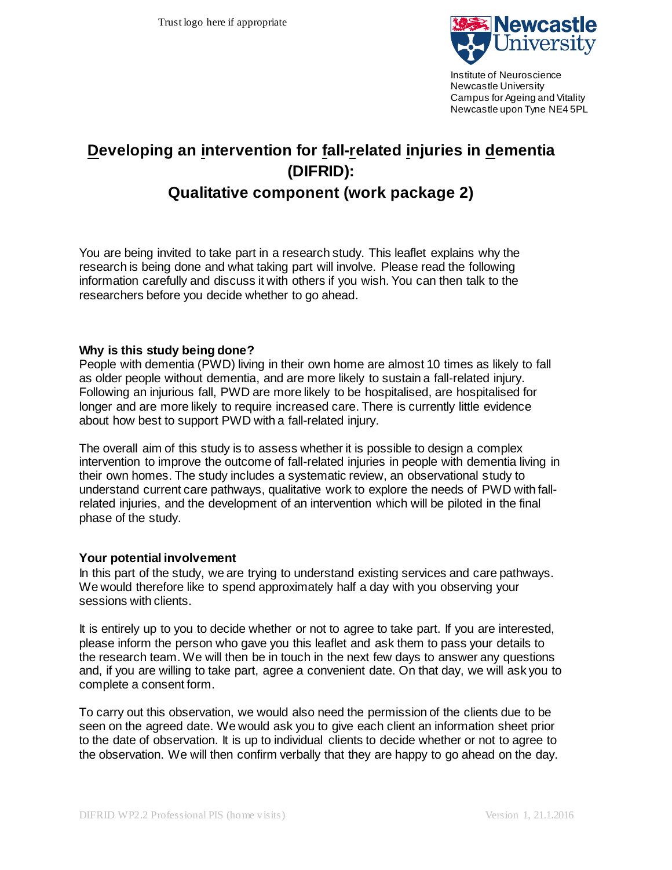

Institute of Neuroscience Newcastle University Campus for Ageing and Vitality Newcastle upon Tyne NE4 5PL

# **Developing an intervention for fall-related injuries in dementia (DIFRID):**

# **Qualitative component (work package 2)**

You are being invited to take part in a research study. This leaflet explains why the research is being done and what taking part will involve. Please read the following information carefully and discuss it with others if you wish. You can then talk to the researchers before you decide whether to go ahead.

#### **Why is this study being done?**

People with dementia (PWD) living in their own home are almost 10 times as likely to fall as older people without dementia, and are more likely to sustain a fall-related injury. Following an injurious fall, PWD are more likely to be hospitalised, are hospitalised for longer and are more likely to require increased care. There is currently little evidence about how best to support PWD with a fall-related injury.

The overall aim of this study is to assess whether it is possible to design a complex intervention to improve the outcome of fall-related injuries in people with dementia living in their own homes. The study includes a systematic review, an observational study to understand current care pathways, qualitative work to explore the needs of PWD with fallrelated injuries, and the development of an intervention which will be piloted in the final phase of the study.

## **Your potential involvement**

In this part of the study, we are trying to understand existing services and care pathways. We would therefore like to spend approximately half a day with you observing your sessions with clients.

It is entirely up to you to decide whether or not to agree to take part. If you are interested, please inform the person who gave you this leaflet and ask them to pass your details to the research team. We will then be in touch in the next few days to answer any questions and, if you are willing to take part, agree a convenient date. On that day, we will ask you to complete a consent form.

To carry out this observation, we would also need the permission of the clients due to be seen on the agreed date. We would ask you to give each client an information sheet prior to the date of observation. It is up to individual clients to decide whether or not to agree to the observation. We will then confirm verbally that they are happy to go ahead on the day.